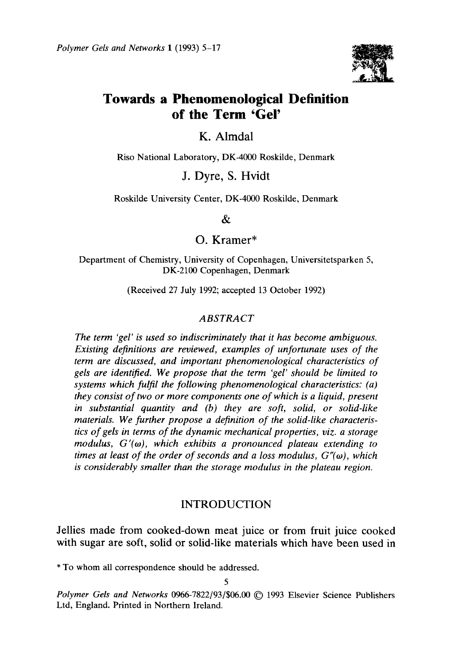

# **Towards a Phenomenological Definition of the Term 'Gel'**

**K. Almdal** 

Riso National Laboratory, DK-4000 Roskilde, Denmark

**J. Dyre, S. Hvidt** 

Roskilde University Center, DK-4000 Roskilde, Denmark

 $\mathcal{R}_{\mathcal{L}}$ 

O. Kramer\*

Department of Chemistry, University of Copenhagen, Universitetsparken 5, DK-2100 Copenhagen, Denmark

(Received 27 July 1992; accepted 13 October 1992)

### *ABSTRACT*

*The term 'gel' is used so indiscriminately that it has become ambiguous. Existing definitions are reviewed, examples of unfortunate uses of the term are discussed, and important phenomenological characteristics of gels are identified. We propose that the term 'gel' should be limited to systems which fulfil the following phenomenological characteristics: (a) they consist of two or more components one of which is a liquid, present in substantial quantity and (b) they are soft, solid, or solid-like materials. We further propose a definition of the solid-like characteristics of gels in terms of the dynamic mechanical properties, viz. a storage*   $modulus, G'(\omega)$ , which exhibits a pronounced plateau extending to *times at least of the order of seconds and a loss modulus,*  $G''(\omega)$ *, which is considerably smaller than the storage modulus in the plateau region.* 

#### INTRODUCTION

Jellies made from cooked-down meat juice or from fruit juice cooked with sugar are soft, solid or solid-like materials which have been used in

\* To whom **all** correspondence should be addressed.

5

*Polymer Gels and Networks* 0966-7822/93/\$06.00 © 1993 Elsevier Science Publishers Ltd, England. Printed in Northern Ireland.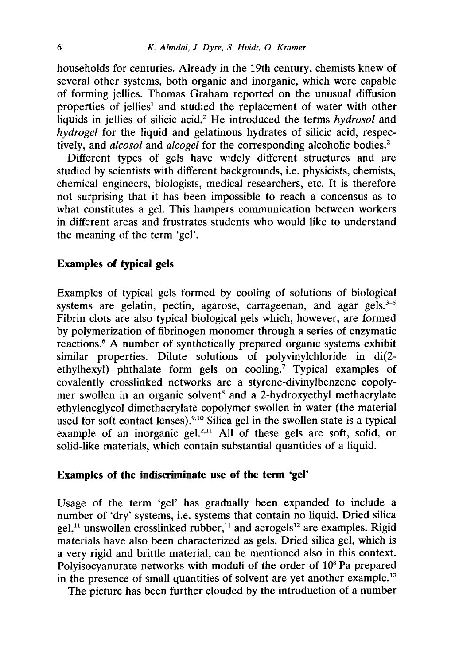households for centuries. Already in the 19th century, chemists knew of several other systems, both organic and inorganic, which were capable of forming jellies. Thomas Graham reported on the unusual diffusion properties of jellies<sup>1</sup> and studied the replacement of water with other liquids in jellies of silicic acid.<sup>2</sup> He introduced the terms *hydrosol* and *hydrogel* for the liquid and gelatinous hydrates of silicic acid, respectively, and *alcosol* and *alcogel* for the corresponding alcoholic bodies.<sup>2</sup>

Different types of gels have widely different structures and are studied by scientists with different backgrounds, i.e. physicists, chemists, chemical engineers, biologists, medical researchers, etc. It is therefore not surprising that it has been impossible to reach a concensus as to what constitutes a gel. This hampers communication between workers in different areas and frustrates students who would like to understand the meaning of the term 'gel'.

# **Examples of typical gels**

Examples of typical gels formed by cooling of solutions of biological systems are gelatin, pectin, agarose, carrageenan, and agar gels. $3-5$ Fibrin clots are also typical biological gels which, however, are formed by polymerization of fibrinogen monomer through a series of enzymatic reactions. 6 A number of synthetically prepared organic systems exhibit similar properties. Dilute solutions of polyvinylchloride in di(2 ethylhexyl) phthalate form gels on cooling.<sup>7</sup> Typical examples of covalently crosslinked networks are a styrene-divinylbenzene copolymer swollen in an organic solvent<sup>8</sup> and a 2-hydroxyethyl methacrylate ethyleneglycol dimethacrylate copolymer swollen in water (the material used for soft contact lenses). 9'1° Silica gel in the swollen state is a typical example of an inorganic gel.<sup>2,11</sup> All of these gels are soft, solid, or solid-like materials, which contain substantial quantities of a liquid.

# **Examples of the indiscriminate use of the term 'gel'**

Usage of the term 'gel' has gradually been expanded to include a number of 'dry' systems, i.e. systems that contain no liquid. Dried silica gel,<sup>11</sup> unswollen crosslinked rubber,<sup>11</sup> and aerogels<sup>12</sup> are examples. Rigid materials have also been characterized as gels. Dried silica gel, which is a very rigid and brittle material, can be mentioned also in this context. Polyisocyanurate networks with moduli of the order of  $10<sup>8</sup>$  Pa prepared in the presence of small quantities of solvent are yet another example.<sup>13</sup>

The picture has been further clouded by the introduction of a number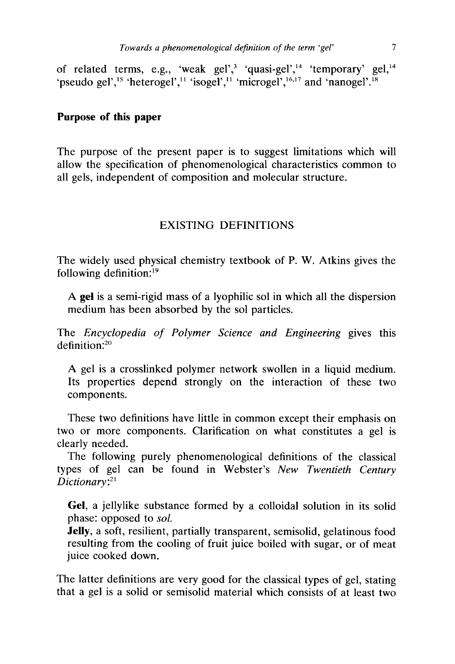## **Purpose of this paper**

The purpose of the present paper is to suggest limitations which will allow the specification of phenomenological characteristics common to all gels, independent of composition and molecular structure.

## EXISTING DEFINITIONS

The widely used physical chemistry textbook of P. W. Atkins gives the following definition: $19$ 

**A gel is a** semi-rigid mass of a lyophilic sol in which all the dispersion medium has been absorbed by the sol particles.

The *Encyclopedia of Polymer Science and Engineering* gives this definition<sup>:20</sup>

A gel is a crosslinked polymer network swollen in a liquid medium. Its properties depend strongly on the interaction of these two components.

These two definitions have little in common except their emphasis on two or more components. Clarification on what constitutes a gel is clearly needed.

The following purely phenomenological definitions of the classical types of gel can be found in Webster's *New Twentieth Century Dictionary*<sup>21</sup>

Gel, a jellylike substance formed by a colloidal solution in its solid phase: opposed to *sol.* 

Jelly, a soft, resilient, partially transparent, semisolid, gelatinous food resulting from the cooling of fruit juice boiled with sugar, or of meat juice cooked down.

The latter definitions are very good for the classical types of gel, stating that a gel is a solid or semisolid material which consists of at least two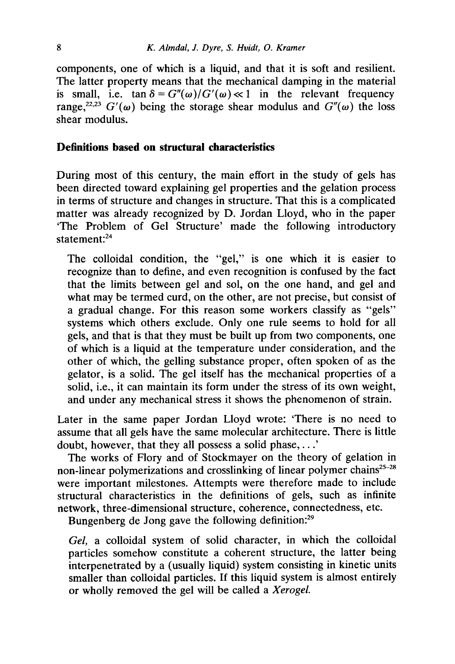components, one of which is a liquid, and that it is soft and resilient. The latter property means that the mechanical damping in the material is small, i.e.  $\tan \delta = G''(\omega)/G'(\omega) \ll 1$  in the relevant frequency range,<sup>22,23</sup> G'( $\omega$ ) being the storage shear modulus and G''( $\omega$ ) the loss shear modulus.

#### **Definitions based on structural characteristics**

During most of this century, the main effort in the study of gels has been directed toward explaining gel properties and the gelation process in terms of structure and changes in structure. That this is a complicated matter was already recognized by D. Jordan Lloyd, who in the paper 'The Problem of Gel Structure' made the following introductory statement: $24$ 

The colloidal condition, the "gel," is one which it is easier to recognize than to define, and even recognition is confused by the fact that the limits between gel and sol, on the one hand, and gel and what may be termed curd, on the other, are not precise, but consist of a gradual change. For this reason some workers classify as "gels" systems which others exclude. Only one rule seems to hold for all gels, and that is that they must be built up from two components, one of which is a liquid at the temperature under consideration, and the other of which, the gelling substance proper, often spoken of as the gelator, is a solid. The gel itself has the mechanical properties of a solid, i.e., it can maintain its form under the stress of its own weight, and under any mechanical stress it shows the phenomenon of strain.

Later in the same paper Jordan Lloyd wrote: 'There is no need to assume that all gels have the same molecular architecture. There is little doubt, however, that they all possess a solid phase,...'

The works of Flory and of Stockmayer on the theory of gelation in non-linear polymerizations and crosslinking of linear polymer chains<sup>25-28</sup> were important milestones. Attempts were therefore made to include structural characteristics in the definitions of gels, such as infinite network, three-dimensional structure, coherence, connectedness, etc.

Bungenberg de Jong gave the following definition:<sup>29</sup>

*Gel,* a colloidal system of solid character, in which the colloidal particles somehow constitute a coherent structure, the latter being interpenetrated by a (usually liquid) system consisting in kinetic units smaller than colloidal particles. If this liquid system is almost entirely or wholly removed the gel will be called a *Xerogel.*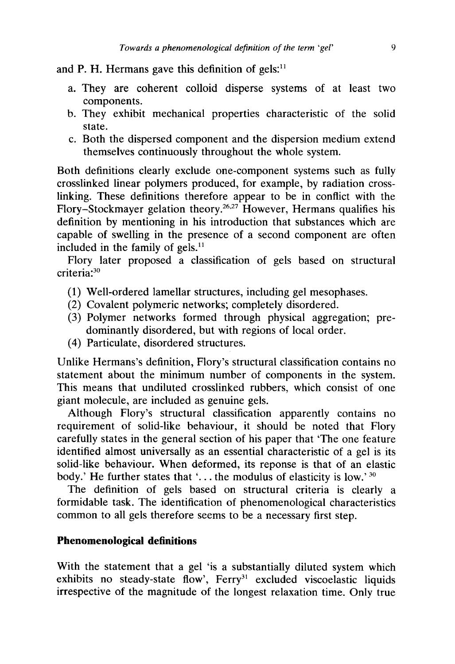and P. H. Hermans gave this definition of gels: $11$ 

- a. They are coherent colloid disperse systems of at least two components.
- b. They exhibit mechanical properties characteristic of the solid state.
- c. Both the dispersed component and the dispersion medium extend themselves continuously throughout the whole system.

Both definitions clearly exclude one-component systems such as fully crosslinked linear polymers produced, for example, by radiation crosslinking. These definitions therefore appear to be in conflict with the Flory-Stockmayer gelation theory.<sup>26,27</sup> However, Hermans qualifies his definition by mentioning in his introduction that substances which are capable of swelling in the presence of a second component are often included in the family of gels. $^{11}$ 

Flory later proposed a classification of gels based on structural criteria:<sup>30</sup>

- (1) Well-ordered lamellar structures, including gel mesophases.
- (2) Covalent polymeric networks; completely disordered.
- (3) Polymer networks formed through physical aggregation; predominantly disordered, but with regions of local order.
- (4) Particulate, disordered structures.

Unlike Hermans's definition, Flory's structural classification contains no statement about the minimum number of components in the system. This means that undiluted crosslinked rubbers, which consist of one giant molecule, are included as genuine gels.

Although Flory's structural classification apparently contains no requirement of solid-like behaviour, it should be noted that Flory carefully states in the general section of his paper that 'The one feature identified almost universally as an essential characteristic of a gel is its solid-like behaviour. When deformed, its reponse is that of an elastic body.' He further states that '... the modulus of elasticity is low.' 30

The definition of gels based on structural criteria is clearly a formidable task. The identification of phenomenological characteristics common to all gels therefore seems to be a necessary first step.

#### **Phenomenologicai definitions**

With the statement that a gel 'is a substantially diluted system which exhibits no steady-state flow', Ferry<sup>31</sup> excluded viscoelastic liquids irrespective of the magnitude of the longest relaxation time. Only true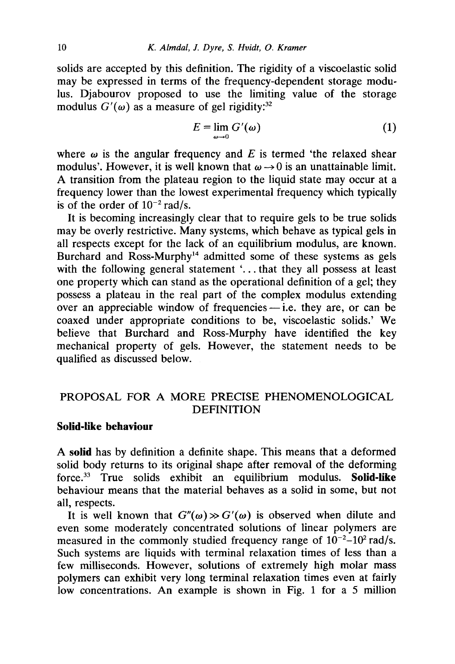solids are accepted by this definition. The rigidity of a viscoelastic solid may be expressed in terms of the frequency-dependent storage modulus. Djabourov proposed to use the limiting value of the storage modulus  $G'(\omega)$  as a measure of gel rigidity:<sup>32</sup>

$$
E = \lim_{\omega \to 0} G'(\omega) \tag{1}
$$

where  $\omega$  is the angular frequency and E is termed 'the relaxed shear modulus'. However, it is well known that  $\omega \rightarrow 0$  is an unattainable limit. A transition from the plateau region to the liquid state may occur at a frequency lower than the lowest experimental frequency which typically is of the order of  $10^{-2}$  rad/s.

It is becoming increasingly clear that to require gels to be true solids may be overly restrictive. Many systems, which behave as typical gels in all respects except for the lack of an equilibrium modulus, are known. Burchard and Ross-Murphy<sup>14</sup> admitted some of these systems as gels with the following general statement '... that they all possess at least one property which can stand as the operational definition of a gel; they possess a plateau in the real part of the complex modulus extending over an appreciable window of frequencies $-\mathrm{i.e.}$  they are, or can be coaxed under appropriate conditions to be, viscoelastic solids.' We believe that Burchard and Ross-Murphy have identified the key mechanical property of gels. However, the statement needs to be qualified as discussed below.

# PROPOSAL FOR A MORE PRECISE PHENOMENOLOGICAL **DEFINITION**

#### **Solid-like behaviour**

A **solid** has by definition a definite shape. This means that a deformed solid body returns to its original shape after removal of the deforming force. 33 True solids exhibit an equilibrium modulus. **Solid-like**  behaviour means that the material behaves as a solid in some, but not all, respects.

It is well known that  $G''(\omega) \gg G'(\omega)$  is observed when dilute and even some moderately concentrated solutions of linear polymers are measured in the commonly studied frequency range of  $10^{-2}$ –10<sup>2</sup> rad/s. Such systems are liquids with terminal relaxation times of less than a few milliseconds. However, solutions of extremely high molar mass polymers can exhibit very long terminal relaxation times even at fairly low concentrations. An example is shown in Fig. 1 for a 5 million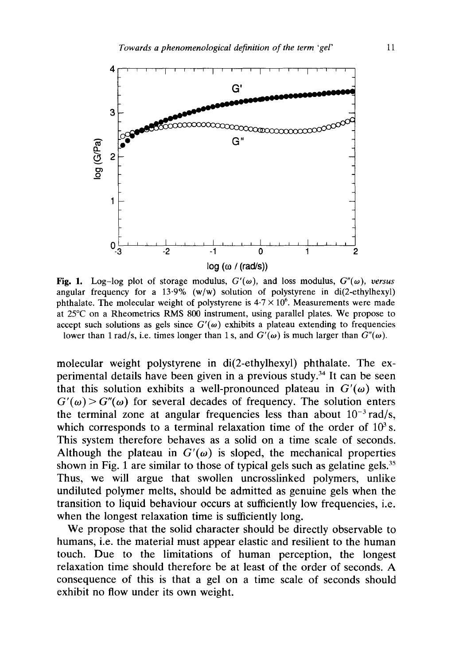

Fig. 1. Log-log plot of storage modulus,  $G'(\omega)$ , and loss modulus,  $G''(\omega)$ , versus angular frequency for a 13.9% (w/w) solution of polystyrene in di(2-ethylhexyl) phthalate. The molecular weight of polystyrene is  $4.7 \times 10^6$ . Measurements were made at 25°C on a Rheometrics RMS 800 instrument, using parallel plates. We propose to accept such solutions as gels since  $G'(\omega)$  exhibits a plateau extending to frequencies lower than 1 rad/s, i.e. times longer than 1 s, and  $G'(\omega)$  is much larger than  $G''(\omega)$ .

molecular weight polystyrene in di(2-ethylhexyl) phthalate. The experimental details have been given in a previous study. 34 It can be seen that this solution exhibits a well-pronounced plateau in  $G'(\omega)$  with  $G'(\omega) > G''(\omega)$  for several decades of frequency. The solution enters the terminal zone at angular frequencies less than about  $10^{-3}$  rad/s, which corresponds to a terminal relaxation time of the order of  $10^3$  s. This system therefore behaves as a solid on a time scale of seconds. Although the plateau in  $G'(\omega)$  is sloped, the mechanical properties shown in Fig. 1 are similar to those of typical gels such as gelatine gels.<sup>35</sup> Thus, we will argue that swollen uncrosslinked polymers, unlike undiluted polymer melts, should be admitted as genuine gels when the transition to liquid behaviour occurs at sufficiently low frequencies, i.e. when the longest relaxation time is sufficiently long.

We propose that the solid character should be directly observable to humans, i.e. the material must appear elastic and resilient to the human touch. Due to the limitations of human perception, the longest relaxation time should therefore be at least of the order of seconds. A consequence of this is that a gel on a time scale of seconds should exhibit no flow under its own weight.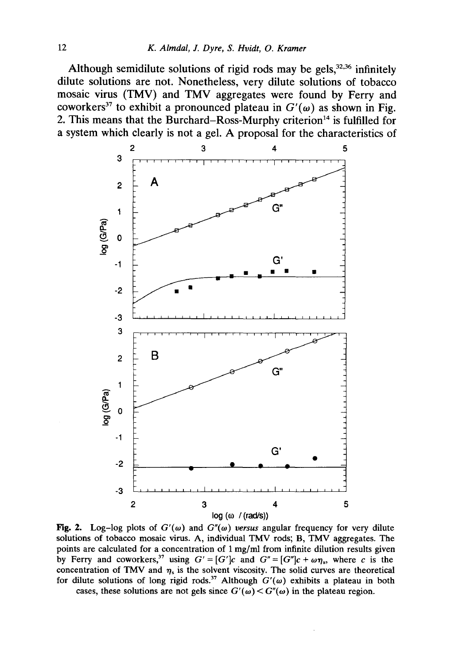**Although semidilute solutions of rigid rods may be gels, 32'36 infinitely dilute solutions are not. Nonetheless, very dilute solutions of tobacco mosaic virus (TMV) and TMV aggregates were found by Ferry and**  coworkers<sup>37</sup> to exhibit a pronounced plateau in  $G'(\omega)$  as shown in Fig. 2. This means that the Burchard–Ross-Murphy criterion<sup>14</sup> is fulfilled for **a system which** clearly is not a gel. A proposal for the characteristics of



Fig. 2. Log-log plots of  $G'(\omega)$  and  $G''(\omega)$  *versus* angular frequency for very dilute solutions of tobacco mosaic virus. A, individual TMV rods; B, TMV aggregates. The points are calculated for a concentration of 1 mg/ml from infinite dilution results given by Ferry and coworkers,<sup>37</sup> using  $G' = [G']c$  and  $G'' = [G'']c + \omega \eta_s$ , where c is the concentration of TMV and  $\eta_s$  is the solvent viscosity. The solid curves are theoretical for dilute solutions of long rigid rods.<sup>37</sup> Although  $G'(\omega)$  exhibits a plateau in both cases, these solutions are not gels since  $G'(\omega) < G''(\omega)$  in the plateau region.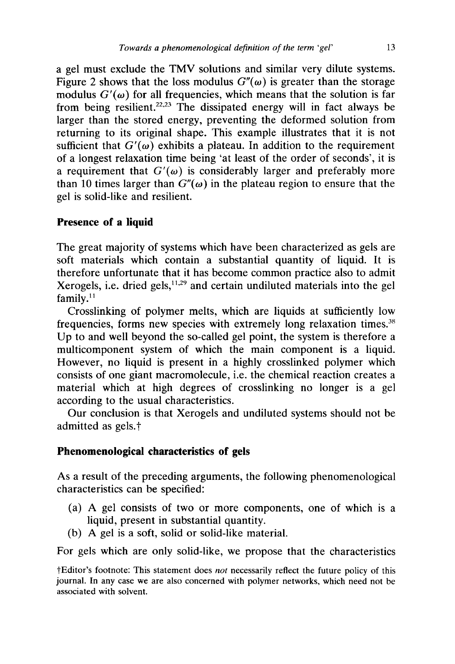a gel must exclude the TMV solutions and similar very dilute systems. Figure 2 shows that the loss modulus  $G''(\omega)$  is greater than the storage modulus  $G'(\omega)$  for all frequencies, which means that the solution is far from being resilient.<sup>22,23</sup> The dissipated energy will in fact always be larger than the stored energy, preventing the deformed solution from returning to its original shape. This example illustrates that it is not sufficient that  $G'(\omega)$  exhibits a plateau. In addition to the requirement of a longest relaxation time being 'at least of the order of seconds', it is a requirement that  $G'(\omega)$  is considerably larger and preferably more than 10 times larger than  $G''(\omega)$  in the plateau region to ensure that the gel is solid-like and resilient.

#### **Presence of a liquid**

The great majority of systems which have been characterized as gels are soft materials which contain a substantial quantity of liquid. It is therefore unfortunate that it has become common practice also to admit Xerogels, i.e. dried gels,  $11.29$  and certain undiluted materials into the gel  $family.<sup>11</sup>$ 

Crosslinking of polymer melts, which are liquids at sufficiently low frequencies, forms new species with extremely long relaxation times. 38 Up to and well beyond the so-called gel point, the system is therefore a multicomponent system of which the main component is a liquid. However, no liquid is present in a highly crosslinked polymer which consists of one giant macromolecule, i.e. the chemical reaction creates a material which at high degrees of crosslinking no longer is a gel according to the usual characteristics.

Our conclusion is that Xerogels and undiluted systems should not be admitted as gels.<sup>†</sup>

#### **Phenomenological characteristics of gels**

As a result of the preceding arguments, the following phenomenological characteristics can be specified:

- (a) A gel consists of two or more components, one of which is a liquid, present in substantial quantity.
- (b) A gel is a soft, solid or solid-like material.

For gels which are only solid-like, we propose that the characteristics

tEditor's footnote: This statement does *not* necessarily reflect the future policy of this journal. In any case we are also concerned with polymer networks, which need not be associated with solvent.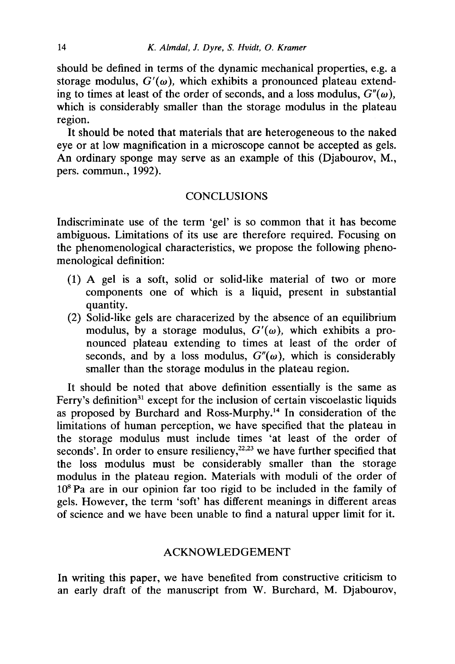should be defined in terms of the dynamic mechanical properties, e.g. a storage modulus,  $G'(\omega)$ , which exhibits a pronounced plateau extending to times at least of the order of seconds, and a loss modulus,  $G''(\omega)$ , which is considerably smaller than the storage modulus in the plateau region.

It should be noted that materials that are heterogeneous to the naked eye or at low magnification in a microscope cannot be accepted as gels. An ordinary sponge may serve as an example of this (Djabourov, M., pers. commun., 1992).

## **CONCLUSIONS**

Indiscriminate use of the term 'gel' is so common that it has become ambiguous. Limitations of its use are therefore required. Focusing on the phenomenological characteristics, we propose the following phenomenological definition:

- (1) A gel is a soft, solid or solid-like material of two or more components one of which is a liquid, present in substantial quantity.
- (2) Solid-like gels are characerized by the absence of an equilibrium modulus, by a storage modulus,  $G'(\omega)$ , which exhibits a pronounced plateau extending to times at least of the order of seconds, and by a loss modulus,  $G''(\omega)$ , which is considerably smaller than the storage modulus in the plateau region.

It should be noted that above definition essentially is the same as Ferry's definition<sup>31</sup> except for the inclusion of certain viscoelastic liquids as proposed by Burchard and Ross-Murphy. 14 In consideration of the limitations of human perception, we have specified that the plateau in the storage modulus must include times 'at least of the order of seconds'. In order to ensure resiliency,  $22,23$  we have further specified that the loss modulus must be considerably smaller than the storage modulus in the plateau region. Materials with moduli of the order of  $10<sup>8</sup>$  Pa are in our opinion far too rigid to be included in the family of gels. However, the term 'soft' has different meanings in different areas of science and we have been unable to find a natural upper limit for it.

#### ACKNOWLEDGEMENT

In writing this paper, we have benefited from constructive criticism to an early draft of the manuscript from W. Burchard, M. Djabourov,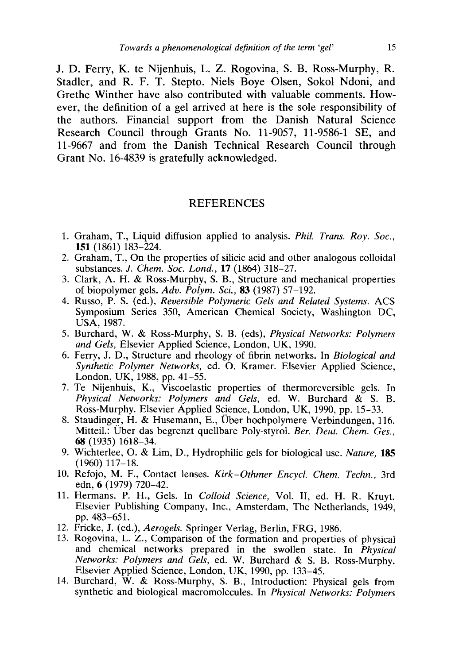J. D. Ferry, K. te Nijenhuis, L. Z. Rogovina, S. B, Ross-Murphy, R. Stadler, and R. F. T. Stepto. Niels Boye Olsen, Sokol Ndoni, and Grethe Winther have also contributed with valuable comments. However, the definition of a gel arrived at here is the sole responsibility of the authors. Financial support from the Danish Natural Science Research Council through Grants No. 11-9057, 11-9586-1 SE, and 11-9667 and from the Danish Technical Research Council through Grant No. 16-4839 is gratefully acknowledged.

## REFERENCES

- 1. Graham, T., Liquid diffusion applied to analysis. *Phil Trans. Roy. Soc.,*  151 (1861) 183-224.
- 2. Graham, T., On the properties of silicic acid and other analogous colloidal substances. *J. Chem. Soc. Lond.,* 17 (1864) 318-27.
- 3. Clark, A. H. & Ross-Murphy, S. B., Structure and mechanical properties of biopolymer gels. *Adv. Polym. Sci.,* 83 (1987) 57-192.
- 4. Russo, P. S. (ed.), *Reversible Polymeric Gels and Related Systems.* ACS Symposium Series 350, American Chemical Society, Washington DC, USA, 1987.
- 5. Burchard, W. & Ross-Murphy, S. B. (eds), *Physical Networks: Polymers and Gels,* Elsevier Applied Science, London, UK, 1990.
- 6. Ferry, J. D., Structure and rheology of fibrin networks. In *Biological and Synthetic Polymer Networks,* ed. O. Kramer. Elsevier Applied Science, London, UK, 1988, pp. 41-55.
- 7. Te Nijenhuis, K., Viscoelastic properties of thermoreversible gels. In *Physical Networks: Polymers and Gels,* ed. W. Burchard & S. B. Ross-Murphy. Elsevier Applied Science, London, UK, 1990, pp. 15–33.
- 8. Staudinger, H. & Husemann, E., Uber hochpolymere Verbindungen, 116. Mitteil.: Uber das begrenzt quellbare Poly-styrol. *Ber. Deut. Chem. Ges.,*  68 (1935) 1618-34.
- 9. Wichterlee, O. & Lim, D., Hydrophilic gels for biological use. *Nature,* 185 (1960) 117-18.
- 10. Refojo, M. F., Contact lenses. *Kirk-Othmer Encycl. Chem. Techn.,* 3rd edn, 6 (1979) 720-42.
- 11. Hermans, P. H., Gels. In *Colloid Science,* Vol. II, ed. H. R. Kruyt. Elsevier Publishing Company, Inc., Amsterdam, The Netherlands, 1949, pp. 483-651.
- 12. Fricke, J. (ed.), *Aerogels.* Springer Verlag, Berlin, FRG, 1986.
- 13. Rogovina, L. Z., Comparison of the formation and properties of physical and chemical networks prepared in the swollen state. In *Physical Networks: Polymers and Gels,* ed. W. Burchard & S. B. Ross-Murphy. Elsevier Applied Science, London, UK, 1990, pp. 133-45.
- 14. Burchard, W. & Ross-Murphy, S. B., Introduction: Physical gels from synthetic and biological macromolecules. In *Physical Networks: Polymers*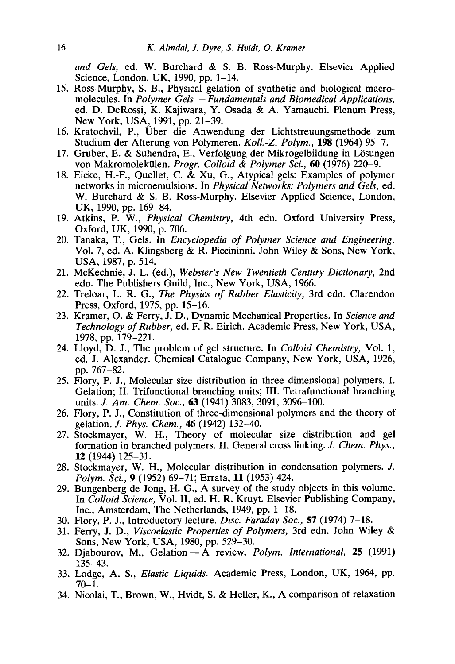*and Gels,* ed. W. Burchard & S. B. Ross-Murphy. Elsevier Applied Science, London, UK, 1990, pp. 1-14.

- 15. Ross-Murphy, S. B., Physical gelation of synthetic and biological macromolecules. In *Polymer Gels* -- Fundamentals and *Biomedical Applications*, ed. D. DeRossi, K. Kajiwara, Y. Osada & A. Yamauchi. Plenum Press, New York, USA, 1991, pp. 21-39.
- 16. Kratochvil, P., Uber die Anwendung der Lichtstreuungsmethode zum Studium der Alterung von Polymeren. *KolI.-Z. Polym.,* 198 (1964) 95-7.
- 17. Gruber, E. & Suhendra, E., Verfolgung der Mikrogelbildung in Lösungen von Makromolekülen. *Progr. Colloid & Polymer Sci.*, 60 (1976) 220–9.
- 18. Eicke, H.-F., Quellet, C. & Xu, G., Atypical gels: Examples of polymer networks in microemulsions. In *Physical Networks: Polymers and Gels,* ed. W. Burchard & S. B. Ross-Murphy. Elsevier Applied Science, London, UK, 1990, pp. 169-84.
- 19. Atkins, P. W., *Physical Chemistry,* 4th edn. Oxford University Press, Oxford, UK, 1990, p. 706.
- 20. Tanaka, T., Gels. In *Encyclopedia of Polymer Science and Engineering,*  Vol. 7, ed. A. Klingsberg & R. Piccininni. John Wiley & Sons, New York, USA, 1987, p. 514.
- 21. McKechnie, J. L. (ed.), *Webster's New Twentieth Century Dictionary,* 2nd edn. The Publishers Guild, Inc., New York, USA, 1966.
- 22. Treloar, L. R. G., *The Physics of Rubber Elasticity,* 3rd edn. Clarendon Press, Oxford, 1975, pp. 15-16.
- 23. Kramer, O. & Ferry, J. D., Dynamic Mechanical Properties. In *Science and Technology of Rubber,* ed. F. R. Eirich. Academic Press, New York, USA, 1978, pp. 179-221.
- 24. Lloyd, D. J., The problem of gel structure. In *Colloid Chemistry,* Vol. 1, ed. J. Alexander. Chemical Catalogue Company, New York, USA, 1926, pp. 767-82.
- 25. Flory, P. J., Molecular size distribution in three dimensional polymers. I. Gelation; II. Trifunctional branching units; III. Tetrafunctional branching units. *J. Am. Chem. Soc.,* 63 (1941) 3083, 3091, 3096-100.
- 26. Flory, P. J., Constitution of three-dimensional polymers and the theory of gelation. J. *Phys. Chem., 46* (1942) 132-40.
- 27. Stockmayer, W. H., Theory of molecular size distribution and gel formation in branched polymers. II. General cross linking. *J. Chem. Phys.,*  12 (1944) 125-31.
- 28. Stockmayer, W. H., Molecular distribution in condensation polymers. J. *Polym. Sci.,* 9 (1952) 69-71; Errata, 11 (1953) 424.
- 29. Bungenberg de Jong, H. G., A survey of the study objects in this volume. In *Colloid Science,* Vol. II, ed. H. R. Kruyt. Elsevier Publishing Company, Inc., Amsterdam, The Netherlands, 1949, pp. 1-18.
- 30. Flory, P. J., Introductory lecture. *Disc. Faraday Soc.,* 57 (1974) 7-18.
- 31. Ferry, J. D., *Viscoelastic Properties of Polymers,* 3rd edn. John Wiley & Sons, New York, USA, 1980, pp. 529-30.
- 32. Djabourov, M., Gelation--A review. *Polym. International,* 25 (1991) 135-43.
- 33. Lodge, A. S., *Elastic Liquids.* Academic Press, London, UK, 1964, pp. 70-1.
- 34. Nicolai, T., Brown, W., Hvidt, S. & Heller, K., A comparison of relaxation